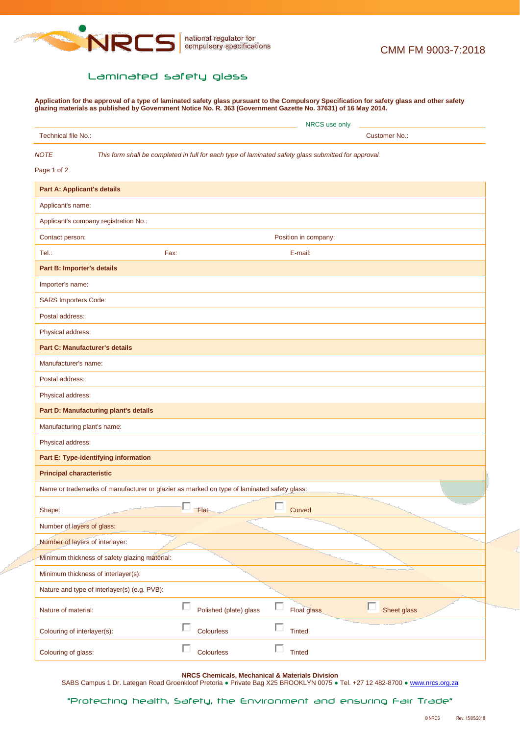

## Laminated safety glass

**Application for the approval of a type of laminated safety glass pursuant to the Compulsory Specification for safety glass and other safety glazing materials as published by Government Notice No. R. 363 (Government Gazette No. 37631) of 16 May 2014.**

|                                                                                            | NRCS use only                                                                                        |                      |                  |  |
|--------------------------------------------------------------------------------------------|------------------------------------------------------------------------------------------------------|----------------------|------------------|--|
| Technical file No.:                                                                        |                                                                                                      | <b>Customer No.:</b> |                  |  |
| <b>NOTE</b><br>Page 1 of 2                                                                 | This form shall be completed in full for each type of laminated safety glass submitted for approval. |                      |                  |  |
| <b>Part A: Applicant's details</b>                                                         |                                                                                                      |                      |                  |  |
| Applicant's name:                                                                          |                                                                                                      |                      |                  |  |
| Applicant's company registration No.:                                                      |                                                                                                      |                      |                  |  |
| Contact person:                                                                            |                                                                                                      | Position in company: |                  |  |
| Tel.:                                                                                      | Fax:                                                                                                 | E-mail:              |                  |  |
| Part B: Importer's details                                                                 |                                                                                                      |                      |                  |  |
| Importer's name:                                                                           |                                                                                                      |                      |                  |  |
| <b>SARS Importers Code:</b>                                                                |                                                                                                      |                      |                  |  |
| Postal address:                                                                            |                                                                                                      |                      |                  |  |
| Physical address:                                                                          |                                                                                                      |                      |                  |  |
| <b>Part C: Manufacturer's details</b>                                                      |                                                                                                      |                      |                  |  |
| Manufacturer's name:                                                                       |                                                                                                      |                      |                  |  |
| Postal address:                                                                            |                                                                                                      |                      |                  |  |
| Physical address:                                                                          |                                                                                                      |                      |                  |  |
| Part D: Manufacturing plant's details                                                      |                                                                                                      |                      |                  |  |
| Manufacturing plant's name:                                                                |                                                                                                      |                      |                  |  |
| Physical address:                                                                          |                                                                                                      |                      |                  |  |
| Part E: Type-identifying information                                                       |                                                                                                      |                      |                  |  |
| <b>Principal characteristic</b>                                                            |                                                                                                      |                      |                  |  |
| Name or trademarks of manufacturer or glazier as marked on type of laminated safety glass: |                                                                                                      |                      |                  |  |
| Shape:                                                                                     | Flat                                                                                                 | Curved               |                  |  |
| Number of layers of glass:                                                                 |                                                                                                      |                      |                  |  |
| Number of layers of interlayer:                                                            |                                                                                                      |                      |                  |  |
| Minimum thickness of safety glazing material:                                              |                                                                                                      |                      |                  |  |
| Minimum thickness of interlayer(s):                                                        |                                                                                                      |                      |                  |  |
| Nature and type of interlayer(s) (e.g. PVB):                                               |                                                                                                      |                      |                  |  |
| Nature of material:                                                                        | П<br>Polished (plate) glass                                                                          | Float glass          | г<br>Sheet glass |  |
| Colouring of interlayer(s):                                                                | П<br>Colourless                                                                                      | П<br><b>Tinted</b>   |                  |  |
| Colouring of glass:                                                                        | П<br>Colourless                                                                                      | п<br><b>Tinted</b>   |                  |  |

**NRCS Chemicals, Mechanical & Materials Division**

SABS Campus 1 Dr. Lategan Road Groenkloof Pretoria · Private Bag X25 BROOKLYN 0075 · Tel. +27 12 482-8700 · [www.nrcs.org.za](http://www.nrcs.org.za/)

"Protecting health, Safety, the Environment and ensuring Fair Trade"